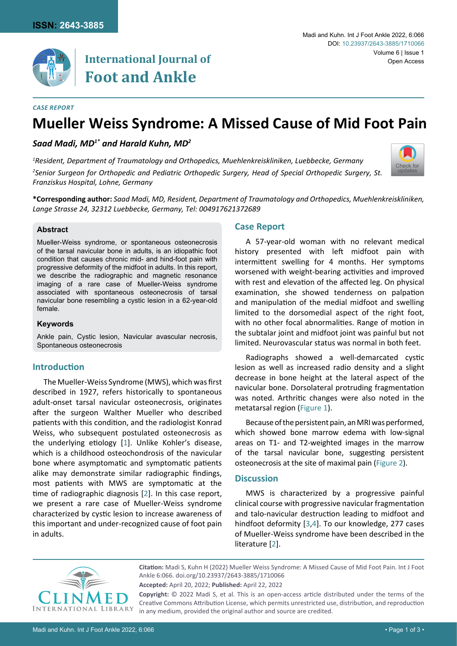

# **International Journal of Foot and Ankle**

## *Case Report*

# **Mueller Weiss Syndrome: A Missed Cause of Mid Foot Pain**

# *Saad Madi, MD1\* and Harald Kuhn, MD2*

*Franziskus Hospital, Lohne, Germany*

*1 Resident, Department of Traumatology and Orthopedics, Muehlenkreiskliniken, Luebbecke, Germany 2 Senior Surgeon for Orthopedic and Pediatric Orthopedic Surgery, Head of Special Orthopedic Surgery, St.* 



**\*Corresponding author:** *Saad Madi, MD, Resident, Department of Traumatology and Orthopedics, Muehlenkreiskliniken, Lange Strasse 24, 32312 Luebbecke, Germany, Tel: 004917621372689*

## **Abstract**

Mueller-Weiss syndrome, or spontaneous osteonecrosis of the tarsal navicular bone in adults, is an idiopathic foot condition that causes chronic mid- and hind-foot pain with progressive deformity of the midfoot in adults. In this report, we describe the radiographic and magnetic resonance imaging of a rare case of Mueller-Weiss syndrome associated with spontaneous osteonecrosis of tarsal navicular bone resembling a cystic lesion in a 62-year-old female.

### **Keywords**

Ankle pain, Cystic lesion, Navicular avascular necrosis, Spontaneous osteonecrosis

# **Introduction**

The Mueller-Weiss Syndrome (MWS), which was first described in 1927, refers historically to spontaneous adult-onset tarsal navicular osteonecrosis, originates after the surgeon Walther Mueller who described patients with this condition, and the radiologist Konrad Weiss, who subsequent postulated osteonecrosis as the underlying etiology [[1](#page-2-3)]. Unlike Kohler's disease, which is a childhood osteochondrosis of the navicular bone where asymptomatic and symptomatic patients alike may demonstrate similar radiographic findings, most patients with MWS are symptomatic at the time of radiographic diagnosis [[2](#page-2-2)]. In this case report, we present a rare case of Mueller-Weiss syndrome characterized by cystic lesion to increase awareness of this important and under-recognized cause of foot pain in adults.

## **Case Report**

A 57-year-old woman with no relevant medical history presented with left midfoot pain with intermittent swelling for 4 months. Her symptoms worsened with weight-bearing activities and improved with rest and elevation of the affected leg. On physical examination, she showed tenderness on palpation and manipulation of the medial midfoot and swelling limited to the dorsomedial aspect of the right foot, with no other focal abnormalities. Range of motion in the subtalar joint and midfoot joint was painful but not limited. Neurovascular status was normal in both feet.

Radiographs showed a well-demarcated cystic lesion as well as increased radio density and a slight decrease in bone height at the lateral aspect of the navicular bone. Dorsolateral protruding fragmentation was noted. Arthritic changes were also noted in the metatarsal region [\(Figure 1](#page-1-0)).

Because of the persistent pain, an MRI was performed, which showed bone marrow edema with low-signal areas on T1- and T2-weighted images in the marrow of the tarsal navicular bone, suggesting persistent osteonecrosis at the site of maximal pain [\(Figure 2](#page-1-1)).

## **Discussion**

MWS is characterized by a progressive painful clinical course with progressive navicular fragmentation and talo-navicular destruction leading to midfoot and hindfoot deformity [\[3,](#page-2-0)[4](#page-2-1)]. To our knowledge, 277 cases of Mueller-Weiss syndrome have been described in the literature [\[2\]](#page-2-2).



**Citation:** Madi S, Kuhn H (2022) Mueller Weiss Syndrome: A Missed Cause of Mid Foot Pain. Int J Foot Ankle 6:066. [doi.org/10.23937/2643-3885/1710066](https://doi.org/10.23937/2643-3885/1710066)

**Copyright:** © 2022 Madi S, et al. This is an open-access article distributed under the terms of the Creative Commons Attribution License, which permits unrestricted use, distribution, and reproduction in any medium, provided the original author and source are credited.

**Accepted:** April 20, 2022; **Published:** April 22, 2022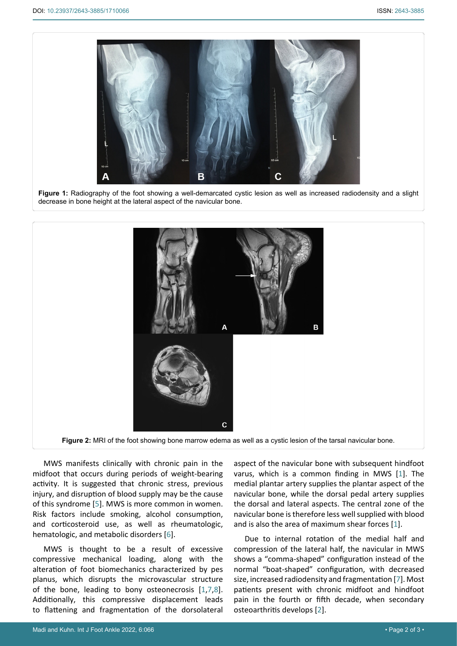<span id="page-1-0"></span>

**Figure 1:** Radiography of the foot showing a well-demarcated cystic lesion as well as increased radiodensity and a slight decrease in bone height at the lateral aspect of the navicular bone.

<span id="page-1-1"></span>

**Figure 2:** MRI of the foot showing bone marrow edema as well as a cystic lesion of the tarsal navicular bone.

MWS manifests clinically with chronic pain in the midfoot that occurs during periods of weight-bearing activity. It is suggested that chronic stress, previous injury, and disruption of blood supply may be the cause of this syndrome [[5](#page-2-5)]. MWS is more common in women. Risk factors include smoking, alcohol consumption, and corticosteroid use, as well as rheumatologic, hematologic, and metabolic disorders [[6\]](#page-2-6).

MWS is thought to be a result of excessive compressive mechanical loading, along with the alteration of foot biomechanics characterized by pes planus, which disrupts the microvascular structure of the bone, leading to bony osteonecrosis [[1,](#page-2-3)[7](#page-2-4),[8](#page-2-7)]. Additionally, this compressive displacement leads to flattening and fragmentation of the dorsolateral aspect of the navicular bone with subsequent hindfoot varus, which is a common finding in MWS [[1\]](#page-2-3). The medial plantar artery supplies the plantar aspect of the navicular bone, while the dorsal pedal artery supplies the dorsal and lateral aspects. The central zone of the navicular bone is therefore less well supplied with blood and is also the area of maximum shear forces [[1](#page-2-3)].

Due to internal rotation of the medial half and compression of the lateral half, the navicular in MWS shows a "comma-shaped" configuration instead of the normal "boat-shaped" configuration, with decreased size, increased radiodensity and fragmentation [[7\]](#page-2-4). Most patients present with chronic midfoot and hindfoot pain in the fourth or fifth decade, when secondary osteoarthritis develops [[2](#page-2-2)].